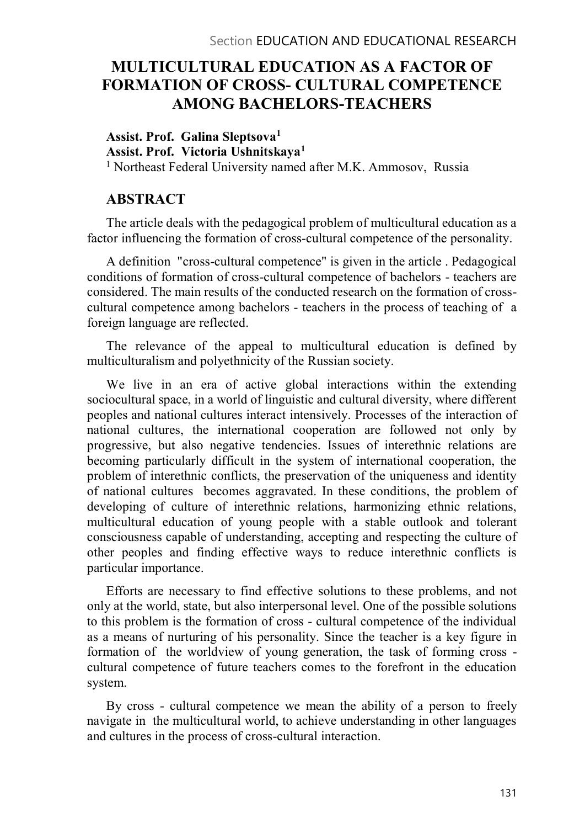# MULTICULTURAL EDUCATION AS A FACTOR OF FORMATION OF CROSS- CULTURAL COMPETENCE AMONG BACHELORS-TEACHERS

Assist. Prof. Galina Sleptsova<sup>1</sup> Assist. Prof. Victoria Ushnitskaya1 <sup>1</sup> Northeast Federal University named after M.K. Ammosov, Russia

# ABSTRACT

The article deals with the pedagogical problem of multicultural education as a factor influencing the formation of cross-cultural competence of the personality.

A definition "cross-cultural competence" is given in the article . Pedagogical conditions of formation of cross-cultural competence of bachelors - teachers are considered. The main results of the conducted research on the formation of crosscultural competence among bachelors - teachers in the process of teaching of a foreign language are reflected.

The relevance of the appeal to multicultural education is defined by multiculturalism and polyethnicity of the Russian society.

We live in an era of active global interactions within the extending sociocultural space, in a world of linguistic and cultural diversity, where different peoples and national cultures interact intensively. Processes of the interaction of national cultures, the international cooperation are followed not only by progressive, but also negative tendencies. Issues of interethnic relations are becoming particularly difficult in the system of international cooperation, the problem of interethnic conflicts, the preservation of the uniqueness and identity of national cultures becomes aggravated. In these conditions, the problem of developing of culture of interethnic relations, harmonizing ethnic relations, multicultural education of young people with a stable outlook and tolerant consciousness capable of understanding, accepting and respecting the culture of other peoples and finding effective ways to reduce interethnic conflicts is particular importance.

Efforts are necessary to find effective solutions to these problems, and not only at the world, state, but also interpersonal level. One of the possible solutions to this problem is the formation of cross - cultural competence of the individual as a means of nurturing of his personality. Since the teacher is a key figure in formation of the worldview of young generation, the task of forming cross cultural competence of future teachers comes to the forefront in the education system.

By cross - cultural competence we mean the ability of a person to freely navigate in the multicultural world, to achieve understanding in other languages and cultures in the process of cross-cultural interaction.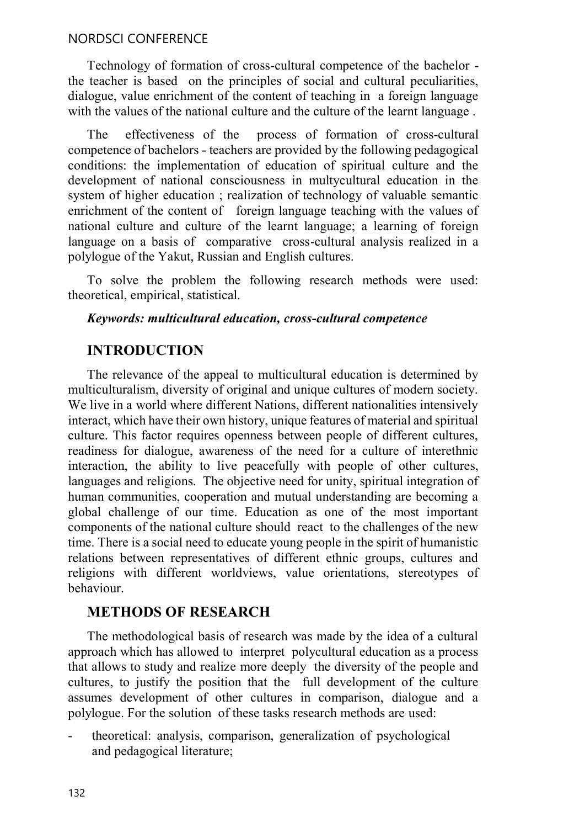Technology of formation of cross-cultural competence of the bachelor the teacher is based on the principles of social and cultural peculiarities, dialogue, value enrichment of the content of teaching in a foreign language with the values of the national culture and the culture of the learnt language.

The effectiveness of the process of formation of cross-cultural competence of bachelors - teachers are provided by the following pedagogical conditions: the implementation of education of spiritual culture and the development of national consciousness in multycultural education in the system of higher education ; realization of technology of valuable semantic enrichment of the content of foreign language teaching with the values of national culture and culture of the learnt language; a learning of foreign language on a basis of comparative cross-cultural analysis realized in a polylogue of the Yakut, Russian and English cultures.

To solve the problem the following research methods were used: theoretical, empirical, statistical.

#### Keywords: multicultural education, cross-cultural competence

# INTRODUCTION

The relevance of the appeal to multicultural education is determined by multiculturalism, diversity of original and unique cultures of modern society. We live in a world where different Nations, different nationalities intensively interact, which have their own history, unique features of material and spiritual culture. This factor requires openness between people of different cultures, readiness for dialogue, awareness of the need for a culture of interethnic interaction, the ability to live peacefully with people of other cultures, languages and religions. The objective need for unity, spiritual integration of human communities, cooperation and mutual understanding are becoming a global challenge of our time. Education as one of the most important components of the national culture should react to the challenges of the new time. There is a social need to educate young people in the spirit of humanistic relations between representatives of different ethnic groups, cultures and religions with different worldviews, value orientations, stereotypes of behaviour.

# METHODS OF RESEARCH

The methodological basis of research was made by the idea of a cultural approach which has allowed to interpret polycultural education as a process that allows to study and realize more deeply the diversity of the people and cultures, to justify the position that the full development of the culture assumes development of other cultures in comparison, dialogue and a polylogue. For the solution of these tasks research methods are used:<br>- theoretical: analysis, comparison, generalization of psychological

and pedagogical literature;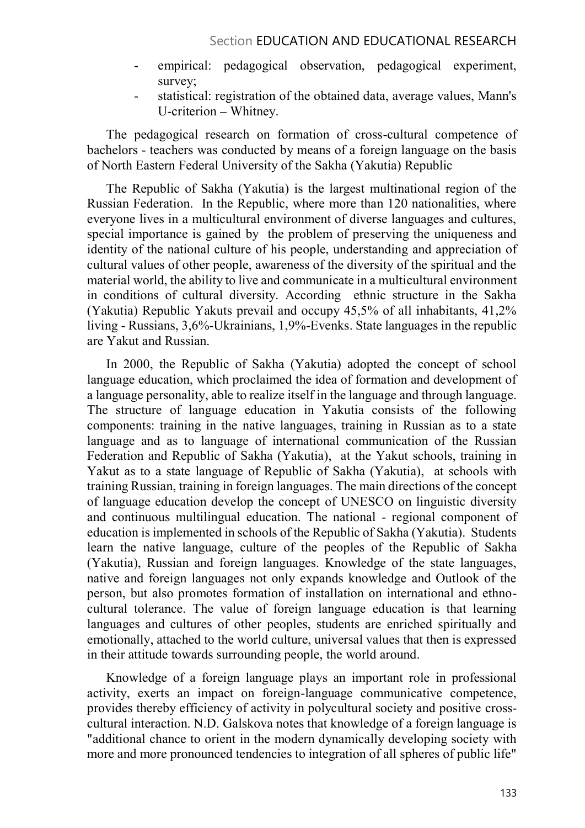- empirical: pedagogical observation, pedagogical experiment, survey;<br>statistical: registration of the obtained data, average values, Mann's
- U-criterion Whitney.

The pedagogical research on formation of cross-cultural competence of bachelors - teachers was conducted by means of a foreign language on the basis of North Eastern Federal University of the Sakha (Yakutia) Republic

The Republic of Sakha (Yakutia) is the largest multinational region of the Russian Federation. In the Republic, where more than 120 nationalities, where everyone lives in a multicultural environment of diverse languages and cultures, special importance is gained by the problem of preserving the uniqueness and identity of the national culture of his people, understanding and appreciation of cultural values of other people, awareness of the diversity of the spiritual and the material world, the ability to live and communicate in a multicultural environment in conditions of cultural diversity. According ethnic structure in the Sakha (Yakutia) Republic Yakuts prevail and occupy 45,5% of all inhabitants, 41,2% living - Russians, 3,6%-Ukrainians, 1,9%-Evenks. State languages in the republic are Yakut and Russian.

In 2000, the Republic of Sakha (Yakutia) adopted the concept of school language education, which proclaimed the idea of formation and development of a language personality, able to realize itself in the language and through language. The structure of language education in Yakutia consists of the following components: training in the native languages, training in Russian as to a state language and as to language of international communication of the Russian Federation and Republic of Sakha (Yakutia), at the Yakut schools, training in Yakut as to a state language of Republic of Sakha (Yakutia), at schools with training Russian, training in foreign languages. The main directions of the concept of language education develop the concept of UNESCO on linguistic diversity and continuous multilingual education. The national - regional component of education is implemented in schools of the Republic of Sakha (Yakutia). Students learn the native language, culture of the peoples of the Republic of Sakha (Yakutia), Russian and foreign languages. Knowledge of the state languages, native and foreign languages not only expands knowledge and Outlook of the person, but also promotes formation of installation on international and ethnocultural tolerance. The value of foreign language education is that learning languages and cultures of other peoples, students are enriched spiritually and emotionally, attached to the world culture, universal values that then is expressed in their attitude towards surrounding people, the world around.

Knowledge of a foreign language plays an important role in professional activity, exerts an impact on foreign-language communicative competence, provides thereby efficiency of activity in polycultural society and positive crosscultural interaction. N.D. Galskova notes that knowledge of a foreign language is "additional chance to orient in the modern dynamically developing society with more and more pronounced tendencies to integration of all spheres of public life"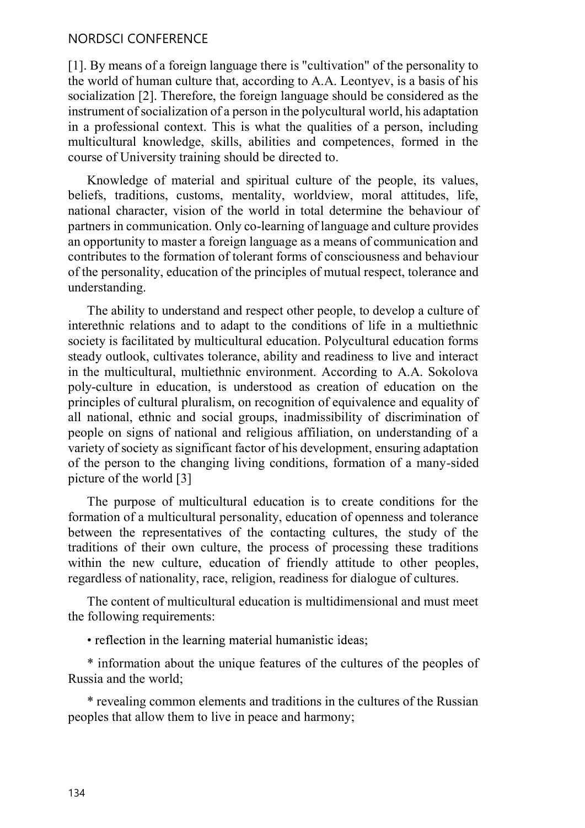#### NORDSCI CONFERENCE

[1]. By means of a foreign language there is "cultivation" of the personality to the world of human culture that, according to A.A. Leontyev, is a basis of his socialization [2]. Therefore, the foreign language should be considered as the instrument of socialization of a person in the polycultural world, his adaptation in a professional context. This is what the qualities of a person, including multicultural knowledge, skills, abilities and competences, formed in the course of University training should be directed to.

Knowledge of material and spiritual culture of the people, its values, beliefs, traditions, customs, mentality, worldview, moral attitudes, life, national character, vision of the world in total determine the behaviour of partners in communication. Only co-learning of language and culture provides an opportunity to master a foreign language as a means of communication and contributes to the formation of tolerant forms of consciousness and behaviour of the personality, education of the principles of mutual respect, tolerance and understanding.

The ability to understand and respect other people, to develop a culture of interethnic relations and to adapt to the conditions of life in a multiethnic society is facilitated by multicultural education. Polycultural education forms steady outlook, cultivates tolerance, ability and readiness to live and interact in the multicultural, multiethnic environment. According to A.A. Sokolova poly-culture in education, is understood as creation of education on the principles of cultural pluralism, on recognition of equivalence and equality of all national, ethnic and social groups, inadmissibility of discrimination of people on signs of national and religious affiliation, on understanding of a variety of society as significant factor of his development, ensuring adaptation of the person to the changing living conditions, formation of a many-sided picture of the world [3]

The purpose of multicultural education is to create conditions for the formation of a multicultural personality, education of openness and tolerance between the representatives of the contacting cultures, the study of the traditions of their own culture, the process of processing these traditions within the new culture, education of friendly attitude to other peoples, regardless of nationality, race, religion, readiness for dialogue of cultures.

The content of multicultural education is multidimensional and must meet the following requirements:

• reflection in the learning material humanistic ideas;

\* information about the unique features of the cultures of the peoples of Russia and the world;

\* revealing common elements and traditions in the cultures of the Russian peoples that allow them to live in peace and harmony;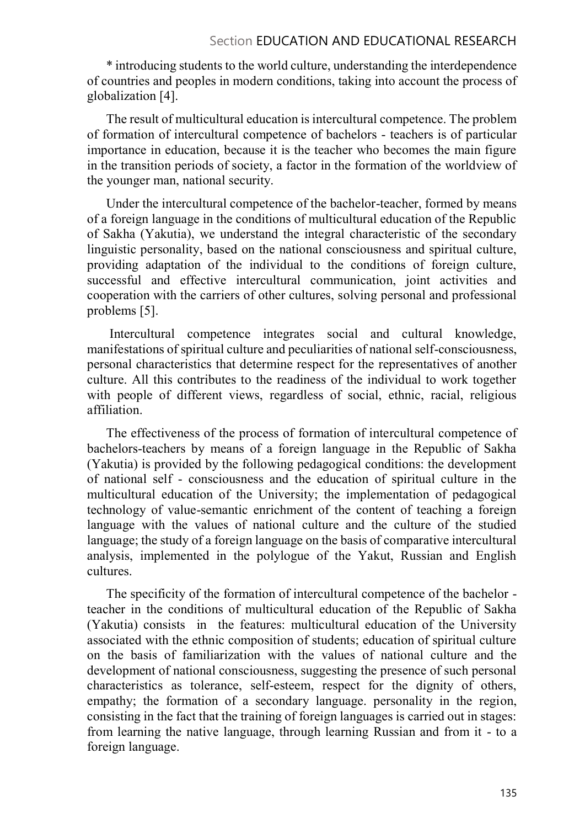## Section EDUCATION AND EDUCATIONAL RESEARCH

\* introducing students to the world culture, understanding the interdependence of countries and peoples in modern conditions, taking into account the process of globalization [4].

The result of multicultural education is intercultural competence. The problem of formation of intercultural competence of bachelors - teachers is of particular importance in education, because it is the teacher who becomes the main figure in the transition periods of society, a factor in the formation of the worldview of the younger man, national security.

Under the intercultural competence of the bachelor-teacher, formed by means of a foreign language in the conditions of multicultural education of the Republic of Sakha (Yakutia), we understand the integral characteristic of the secondary linguistic personality, based on the national consciousness and spiritual culture, providing adaptation of the individual to the conditions of foreign culture, successful and effective intercultural communication, joint activities and cooperation with the carriers of other cultures, solving personal and professional problems [5].

 Intercultural competence integrates social and cultural knowledge, manifestations of spiritual culture and peculiarities of national self-consciousness, personal characteristics that determine respect for the representatives of another culture. All this contributes to the readiness of the individual to work together with people of different views, regardless of social, ethnic, racial, religious affiliation.

The effectiveness of the process of formation of intercultural competence of bachelors-teachers by means of a foreign language in the Republic of Sakha (Yakutia) is provided by the following pedagogical conditions: the development of national self - consciousness and the education of spiritual culture in the multicultural education of the University; the implementation of pedagogical technology of value-semantic enrichment of the content of teaching a foreign language with the values of national culture and the culture of the studied language; the study of a foreign language on the basis of comparative intercultural analysis, implemented in the polylogue of the Yakut, Russian and English cultures.

The specificity of the formation of intercultural competence of the bachelor teacher in the conditions of multicultural education of the Republic of Sakha (Yakutia) consists in the features: multicultural education of the University associated with the ethnic composition of students; education of spiritual culture on the basis of familiarization with the values of national culture and the development of national consciousness, suggesting the presence of such personal characteristics as tolerance, self-esteem, respect for the dignity of others, empathy; the formation of a secondary language. personality in the region, consisting in the fact that the training of foreign languages is carried out in stages: from learning the native language, through learning Russian and from it - to a foreign language.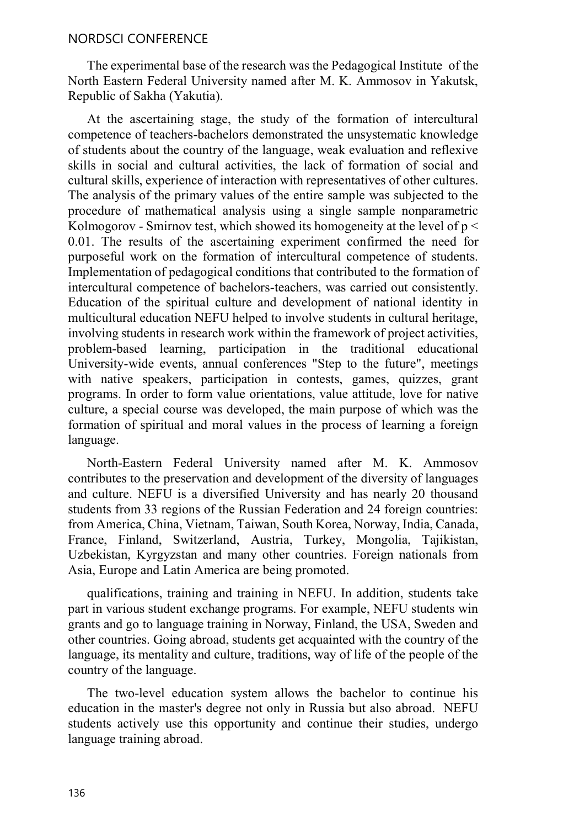#### NORDSCI CONFERENCE

The experimental base of the research was the Pedagogical Institute of the North Eastern Federal University named after M. K. Ammosov in Yakutsk, Republic of Sakha (Yakutia).

At the ascertaining stage, the study of the formation of intercultural competence of teachers-bachelors demonstrated the unsystematic knowledge of students about the country of the language, weak evaluation and reflexive skills in social and cultural activities, the lack of formation of social and cultural skills, experience of interaction with representatives of other cultures. The analysis of the primary values of the entire sample was subjected to the procedure of mathematical analysis using a single sample nonparametric Kolmogorov - Smirnov test, which showed its homogeneity at the level of  $p <$ 0.01. The results of the ascertaining experiment confirmed the need for purposeful work on the formation of intercultural competence of students. Implementation of pedagogical conditions that contributed to the formation of intercultural competence of bachelors-teachers, was carried out consistently. Education of the spiritual culture and development of national identity in multicultural education NEFU helped to involve students in cultural heritage, involving students in research work within the framework of project activities, problem-based learning, participation in the traditional educational University-wide events, annual conferences "Step to the future", meetings with native speakers, participation in contests, games, quizzes, grant programs. In order to form value orientations, value attitude, love for native culture, a special course was developed, the main purpose of which was the formation of spiritual and moral values in the process of learning a foreign language.

North-Eastern Federal University named after M. K. Ammosov contributes to the preservation and development of the diversity of languages and culture. NEFU is a diversified University and has nearly 20 thousand students from 33 regions of the Russian Federation and 24 foreign countries: from America, China, Vietnam, Taiwan, South Korea, Norway, India, Canada, France, Finland, Switzerland, Austria, Turkey, Mongolia, Tajikistan, Uzbekistan, Kyrgyzstan and many other countries. Foreign nationals from Asia, Europe and Latin America are being promoted.

qualifications, training and training in NEFU. In addition, students take part in various student exchange programs. For example, NEFU students win grants and go to language training in Norway, Finland, the USA, Sweden and other countries. Going abroad, students get acquainted with the country of the language, its mentality and culture, traditions, way of life of the people of the country of the language.

The two-level education system allows the bachelor to continue his education in the master's degree not only in Russia but also abroad. NEFU students actively use this opportunity and continue their studies, undergo language training abroad.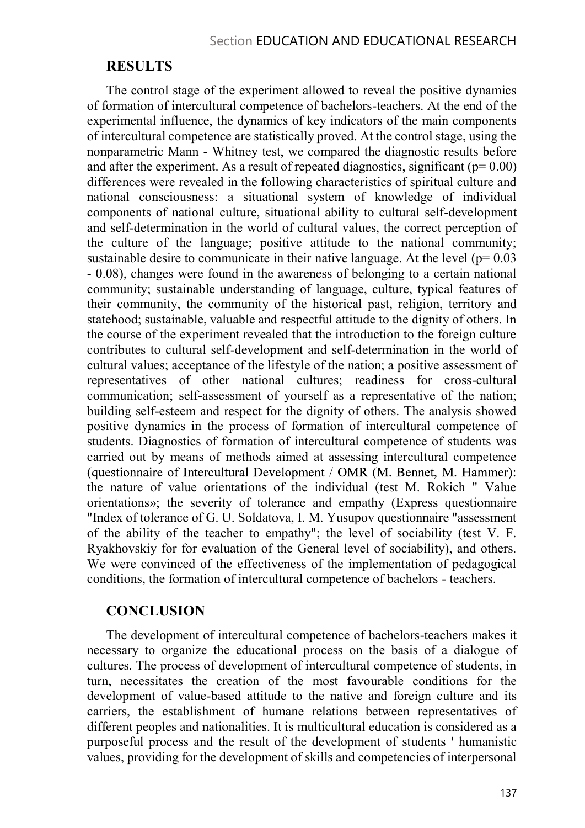## RESULTS

The control stage of the experiment allowed to reveal the positive dynamics of formation of intercultural competence of bachelors-teachers. At the end of the experimental influence, the dynamics of key indicators of the main components of intercultural competence are statistically proved. At the control stage, using the nonparametric Mann - Whitney test, we compared the diagnostic results before and after the experiment. As a result of repeated diagnostics, significant ( $p= 0.00$ ) differences were revealed in the following characteristics of spiritual culture and national consciousness: a situational system of knowledge of individual components of national culture, situational ability to cultural self-development and self-determination in the world of cultural values, the correct perception of the culture of the language; positive attitude to the national community; sustainable desire to communicate in their native language. At the level ( $p= 0.03$ ) - 0.08), changes were found in the awareness of belonging to a certain national community; sustainable understanding of language, culture, typical features of their community, the community of the historical past, religion, territory and statehood; sustainable, valuable and respectful attitude to the dignity of others. In the course of the experiment revealed that the introduction to the foreign culture contributes to cultural self-development and self-determination in the world of cultural values; acceptance of the lifestyle of the nation; a positive assessment of representatives of other national cultures; readiness for cross-cultural communication; self-assessment of yourself as a representative of the nation; building self-esteem and respect for the dignity of others. The analysis showed positive dynamics in the process of formation of intercultural competence of students. Diagnostics of formation of intercultural competence of students was carried out by means of methods aimed at assessing intercultural competence (questionnaire of Intercultural Development / OMR (M. Bennet, M. Hammer): the nature of value orientations of the individual (test M. Rokich " Value orientations»; the severity of tolerance and empathy (Express questionnaire "Index of tolerance of G. U. Soldatova, I. M. Yusupov questionnaire "assessment of the ability of the teacher to empathy"; the level of sociability (test V. F. Ryakhovskiy for for evaluation of the General level of sociability), and others. We were convinced of the effectiveness of the implementation of pedagogical conditions, the formation of intercultural competence of bachelors - teachers.

## **CONCLUSION**

The development of intercultural competence of bachelors-teachers makes it necessary to organize the educational process on the basis of a dialogue of cultures. The process of development of intercultural competence of students, in turn, necessitates the creation of the most favourable conditions for the development of value-based attitude to the native and foreign culture and its carriers, the establishment of humane relations between representatives of different peoples and nationalities. It is multicultural education is considered as a purposeful process and the result of the development of students ' humanistic values, providing for the development of skills and competencies of interpersonal